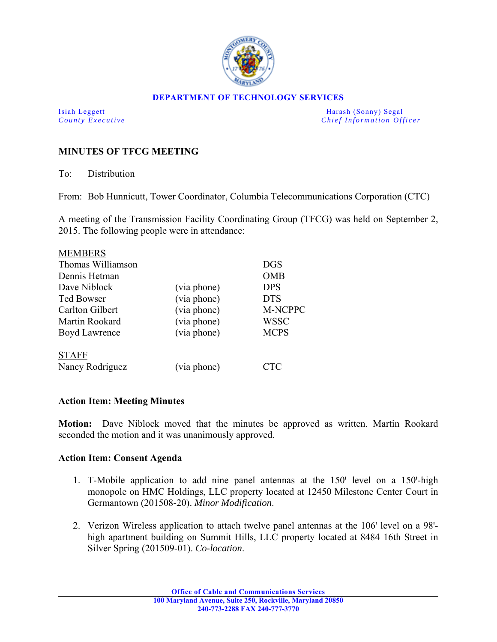

## **DEPARTMENT OF TECHNOLOGY SERVICES**

Isiah Leggett Harash (Sonny) Segal *County Executive* **Country Executive Chief Information Officer** 

## **MINUTES OF TFCG MEETING**

To: Distribution

From: Bob Hunnicutt, Tower Coordinator, Columbia Telecommunications Corporation (CTC)

A meeting of the Transmission Facility Coordinating Group (TFCG) was held on September 2, 2015. The following people were in attendance:

| <b>MEMBERS</b>       |             |             |
|----------------------|-------------|-------------|
| Thomas Williamson    |             | <b>DGS</b>  |
| Dennis Hetman        |             | <b>OMB</b>  |
| Dave Niblock         | (via phone) | <b>DPS</b>  |
| <b>Ted Bowser</b>    | (via phone) | <b>DTS</b>  |
| Carlton Gilbert      | (via phone) | M-NCPPC     |
| Martin Rookard       | (via phone) | <b>WSSC</b> |
| <b>Boyd Lawrence</b> | (via phone) | <b>MCPS</b> |
| <b>STAFF</b>         |             |             |
| Nancy Rodriguez      | (via phone) | CTC         |

## **Action Item: Meeting Minutes**

**Motion:** Dave Niblock moved that the minutes be approved as written. Martin Rookard seconded the motion and it was unanimously approved.

## **Action Item: Consent Agenda**

- 1. T-Mobile application to add nine panel antennas at the 150' level on a 150'-high monopole on HMC Holdings, LLC property located at 12450 Milestone Center Court in Germantown (201508-20). *Minor Modification*.
- 2. Verizon Wireless application to attach twelve panel antennas at the 106' level on a 98'high apartment building on Summit Hills, LLC property located at 8484 16th Street in Silver Spring (201509-01). *Co-location*.